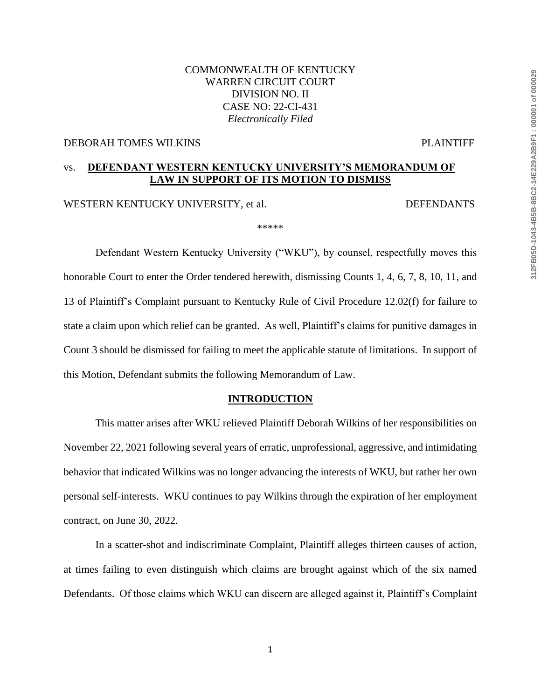## COMMONWEALTH OF KENTUCKY WARREN CIRCUIT COURT DIVISION NO. II CASE NO: 22-CI-431 *Electronically Filed*

#### DEBORAH TOMES WILKINS PLAINTIFF

# vs. **DEFENDANT WESTERN KENTUCKY UNIVERSITY'S MEMORANDUM OF LAW IN SUPPORT OF ITS MOTION TO DISMISS**

WESTERN KENTUCKY UNIVERSITY, et al. DEFENDANTS

\*\*\*\*\*

Defendant Western Kentucky University ("WKU"), by counsel, respectfully moves this honorable Court to enter the Order tendered herewith, dismissing Counts 1, 4, 6, 7, 8, 10, 11, and 13 of Plaintiff's Complaint pursuant to Kentucky Rule of Civil Procedure 12.02(f) for failure to state a claim upon which relief can be granted. As well, Plaintiff's claims for punitive damages in Count 3 should be dismissed for failing to meet the applicable statute of limitations. In support of this Motion, Defendant submits the following Memorandum of Law.

#### **INTRODUCTION**

This matter arises after WKU relieved Plaintiff Deborah Wilkins of her responsibilities on November 22, 2021 following several years of erratic, unprofessional, aggressive, and intimidating behavior that indicated Wilkins was no longer advancing the interests of WKU, but rather her own personal self-interests. WKU continues to pay Wilkins through the expiration of her employment contract, on June 30, 2022.

In a scatter-shot and indiscriminate Complaint, Plaintiff alleges thirteen causes of action, at times failing to even distinguish which claims are brought against which of the six named Defendants. Of those claims which WKU can discern are alleged against it, Plaintiff's Complaint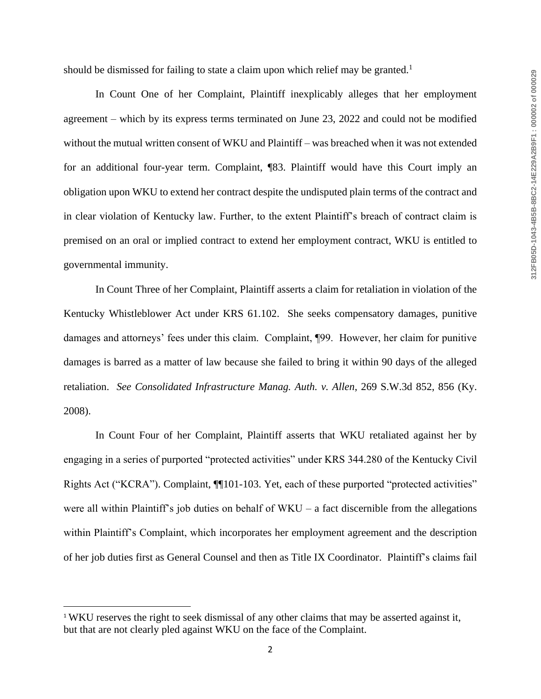should be dismissed for failing to state a claim upon which relief may be granted.<sup>1</sup>

In Count One of her Complaint, Plaintiff inexplicably alleges that her employment agreement – which by its express terms terminated on June 23, 2022 and could not be modified without the mutual written consent of WKU and Plaintiff – was breached when it was not extended for an additional four-year term. Complaint, ¶83. Plaintiff would have this Court imply an obligation upon WKU to extend her contract despite the undisputed plain terms of the contract and in clear violation of Kentucky law. Further, to the extent Plaintiff's breach of contract claim is premised on an oral or implied contract to extend her employment contract, WKU is entitled to governmental immunity.

In Count Three of her Complaint, Plaintiff asserts a claim for retaliation in violation of the Kentucky Whistleblower Act under KRS 61.102. She seeks compensatory damages, punitive damages and attorneys' fees under this claim. Complaint, ¶99. However, her claim for punitive damages is barred as a matter of law because she failed to bring it within 90 days of the alleged retaliation. *See Consolidated Infrastructure Manag. Auth. v. Allen*, 269 S.W.3d 852, 856 (Ky. 2008).

In Count Four of her Complaint, Plaintiff asserts that WKU retaliated against her by engaging in a series of purported "protected activities" under KRS 344.280 of the Kentucky Civil Rights Act ("KCRA"). Complaint, ¶¶101-103. Yet, each of these purported "protected activities" were all within Plaintiff's job duties on behalf of WKU – a fact discernible from the allegations within Plaintiff's Complaint, which incorporates her employment agreement and the description of her job duties first as General Counsel and then as Title IX Coordinator. Plaintiff's claims fail

 $\overline{\phantom{a}}$ 

<sup>&</sup>lt;sup>1</sup> WKU reserves the right to seek dismissal of any other claims that may be asserted against it, but that are not clearly pled against WKU on the face of the Complaint.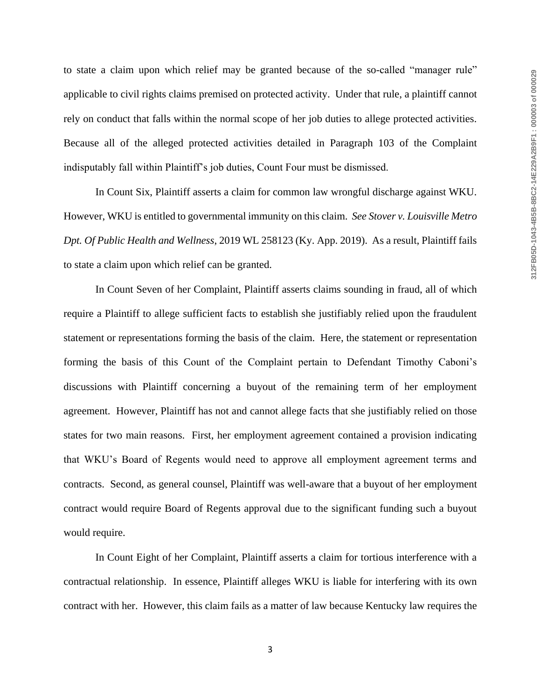to state a claim upon which relief may be granted because of the so-called "manager rule" applicable to civil rights claims premised on protected activity. Under that rule, a plaintiff cannot rely on conduct that falls within the normal scope of her job duties to allege protected activities. Because all of the alleged protected activities detailed in Paragraph 103 of the Complaint indisputably fall within Plaintiff's job duties, Count Four must be dismissed.

In Count Six, Plaintiff asserts a claim for common law wrongful discharge against WKU. However, WKU is entitled to governmental immunity on this claim. *See Stover v. Louisville Metro Dpt. Of Public Health and Wellness*, 2019 WL 258123 (Ky. App. 2019). As a result, Plaintiff fails to state a claim upon which relief can be granted.

In Count Seven of her Complaint, Plaintiff asserts claims sounding in fraud, all of which require a Plaintiff to allege sufficient facts to establish she justifiably relied upon the fraudulent statement or representations forming the basis of the claim. Here, the statement or representation forming the basis of this Count of the Complaint pertain to Defendant Timothy Caboni's discussions with Plaintiff concerning a buyout of the remaining term of her employment agreement. However, Plaintiff has not and cannot allege facts that she justifiably relied on those states for two main reasons. First, her employment agreement contained a provision indicating that WKU's Board of Regents would need to approve all employment agreement terms and contracts. Second, as general counsel, Plaintiff was well-aware that a buyout of her employment contract would require Board of Regents approval due to the significant funding such a buyout would require.

In Count Eight of her Complaint, Plaintiff asserts a claim for tortious interference with a contractual relationship. In essence, Plaintiff alleges WKU is liable for interfering with its own contract with her. However, this claim fails as a matter of law because Kentucky law requires the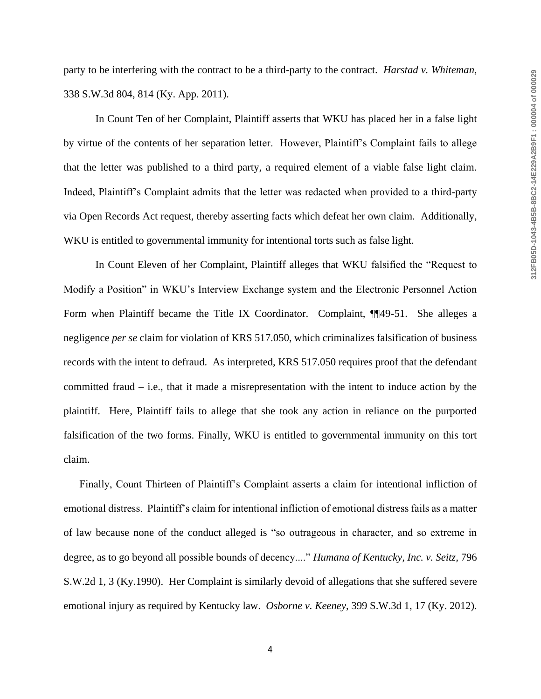party to be interfering with the contract to be a third-party to the contract. *Harstad v. Whiteman*, 338 S.W.3d 804, 814 (Ky. App. 2011).

In Count Ten of her Complaint, Plaintiff asserts that WKU has placed her in a false light by virtue of the contents of her separation letter. However, Plaintiff's Complaint fails to allege that the letter was published to a third party, a required element of a viable false light claim. Indeed, Plaintiff's Complaint admits that the letter was redacted when provided to a third-party via Open Records Act request, thereby asserting facts which defeat her own claim. Additionally, WKU is entitled to governmental immunity for intentional torts such as false light.

In Count Eleven of her Complaint, Plaintiff alleges that WKU falsified the "Request to Modify a Position" in WKU's Interview Exchange system and the Electronic Personnel Action Form when Plaintiff became the Title IX Coordinator. Complaint, ¶¶49-51. She alleges a negligence *per se* claim for violation of KRS 517.050, which criminalizes falsification of business records with the intent to defraud. As interpreted, KRS 517.050 requires proof that the defendant committed fraud – i.e., that it made a misrepresentation with the intent to induce action by the plaintiff. Here, Plaintiff fails to allege that she took any action in reliance on the purported falsification of the two forms. Finally, WKU is entitled to governmental immunity on this tort claim.

Finally, Count Thirteen of Plaintiff's Complaint asserts a claim for intentional infliction of emotional distress. Plaintiff's claim for intentional infliction of emotional distress fails as a matter of law because none of the conduct alleged is "so outrageous in character, and so extreme in degree, as to go beyond all possible bounds of decency...." *Humana of Kentucky, Inc. v. Seitz,* 796 S.W.2d 1, 3 (Ky.1990). Her Complaint is similarly devoid of allegations that she suffered severe emotional injury as required by Kentucky law. *Osborne v. Keeney*, 399 S.W.3d 1, 17 (Ky. 2012).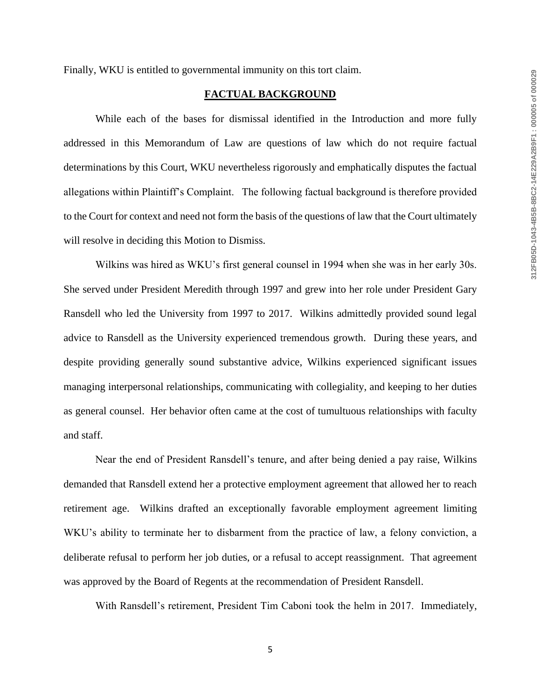Finally, WKU is entitled to governmental immunity on this tort claim.

#### **FACTUAL BACKGROUND**

While each of the bases for dismissal identified in the Introduction and more fully addressed in this Memorandum of Law are questions of law which do not require factual determinations by this Court, WKU nevertheless rigorously and emphatically disputes the factual allegations within Plaintiff's Complaint. The following factual background is therefore provided to the Court for context and need not form the basis of the questions of law that the Court ultimately will resolve in deciding this Motion to Dismiss.

Wilkins was hired as WKU's first general counsel in 1994 when she was in her early 30s. She served under President Meredith through 1997 and grew into her role under President Gary Ransdell who led the University from 1997 to 2017. Wilkins admittedly provided sound legal advice to Ransdell as the University experienced tremendous growth. During these years, and despite providing generally sound substantive advice, Wilkins experienced significant issues managing interpersonal relationships, communicating with collegiality, and keeping to her duties as general counsel. Her behavior often came at the cost of tumultuous relationships with faculty and staff.

Near the end of President Ransdell's tenure, and after being denied a pay raise, Wilkins demanded that Ransdell extend her a protective employment agreement that allowed her to reach retirement age. Wilkins drafted an exceptionally favorable employment agreement limiting WKU's ability to terminate her to disbarment from the practice of law, a felony conviction, a deliberate refusal to perform her job duties, or a refusal to accept reassignment. That agreement was approved by the Board of Regents at the recommendation of President Ransdell.

With Ransdell's retirement, President Tim Caboni took the helm in 2017. Immediately,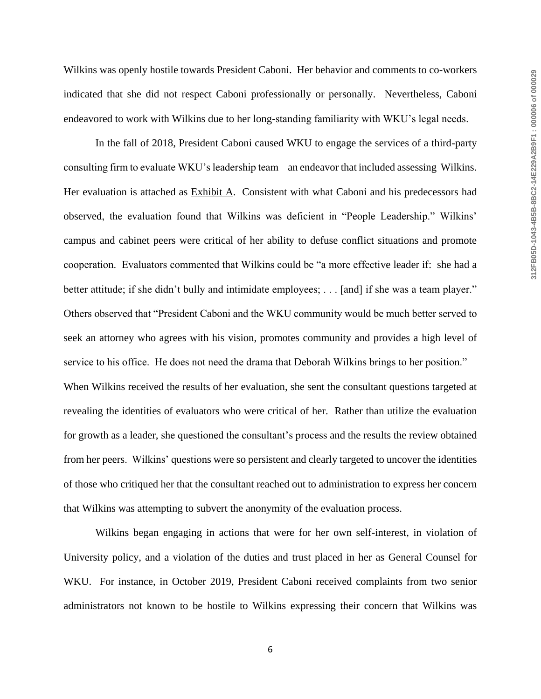Wilkins was openly hostile towards President Caboni. Her behavior and comments to co-workers indicated that she did not respect Caboni professionally or personally. Nevertheless, Caboni endeavored to work with Wilkins due to her long-standing familiarity with WKU's legal needs.

In the fall of 2018, President Caboni caused WKU to engage the services of a third-party consulting firm to evaluate WKU's leadership team – an endeavor that included assessing Wilkins. Her evaluation is attached as **Exhibit A**. Consistent with what Caboni and his predecessors had observed, the evaluation found that Wilkins was deficient in "People Leadership." Wilkins' campus and cabinet peers were critical of her ability to defuse conflict situations and promote cooperation. Evaluators commented that Wilkins could be "a more effective leader if: she had a better attitude; if she didn't bully and intimidate employees; . . . [and] if she was a team player." Others observed that "President Caboni and the WKU community would be much better served to seek an attorney who agrees with his vision, promotes community and provides a high level of service to his office. He does not need the drama that Deborah Wilkins brings to her position." When Wilkins received the results of her evaluation, she sent the consultant questions targeted at revealing the identities of evaluators who were critical of her. Rather than utilize the evaluation for growth as a leader, she questioned the consultant's process and the results the review obtained from her peers. Wilkins' questions were so persistent and clearly targeted to uncover the identities of those who critiqued her that the consultant reached out to administration to express her concern that Wilkins was attempting to subvert the anonymity of the evaluation process.

Wilkins began engaging in actions that were for her own self-interest, in violation of University policy, and a violation of the duties and trust placed in her as General Counsel for WKU. For instance, in October 2019, President Caboni received complaints from two senior administrators not known to be hostile to Wilkins expressing their concern that Wilkins was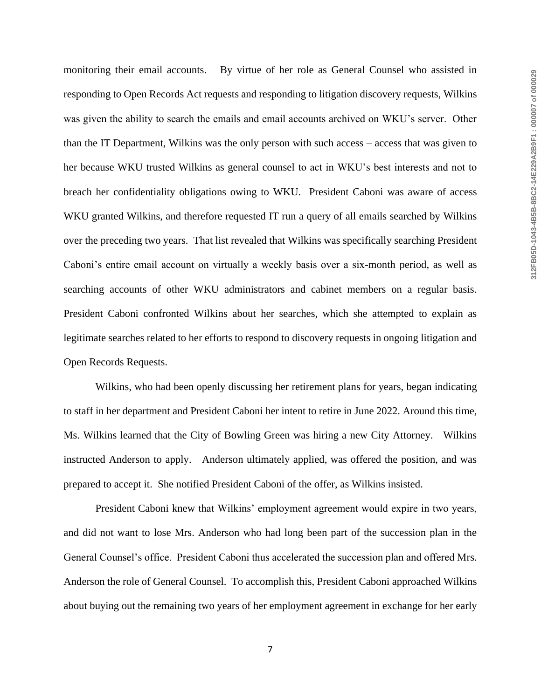monitoring their email accounts. By virtue of her role as General Counsel who assisted in responding to Open Records Act requests and responding to litigation discovery requests, Wilkins was given the ability to search the emails and email accounts archived on WKU's server. Other than the IT Department, Wilkins was the only person with such access – access that was given to her because WKU trusted Wilkins as general counsel to act in WKU's best interests and not to breach her confidentiality obligations owing to WKU. President Caboni was aware of access WKU granted Wilkins, and therefore requested IT run a query of all emails searched by Wilkins over the preceding two years. That list revealed that Wilkins was specifically searching President Caboni's entire email account on virtually a weekly basis over a six-month period, as well as searching accounts of other WKU administrators and cabinet members on a regular basis. President Caboni confronted Wilkins about her searches, which she attempted to explain as legitimate searches related to her efforts to respond to discovery requests in ongoing litigation and Open Records Requests.

Wilkins, who had been openly discussing her retirement plans for years, began indicating to staff in her department and President Caboni her intent to retire in June 2022. Around this time, Ms. Wilkins learned that the City of Bowling Green was hiring a new City Attorney. Wilkins instructed Anderson to apply. Anderson ultimately applied, was offered the position, and was prepared to accept it. She notified President Caboni of the offer, as Wilkins insisted.

President Caboni knew that Wilkins' employment agreement would expire in two years, and did not want to lose Mrs. Anderson who had long been part of the succession plan in the General Counsel's office. President Caboni thus accelerated the succession plan and offered Mrs. Anderson the role of General Counsel. To accomplish this, President Caboni approached Wilkins about buying out the remaining two years of her employment agreement in exchange for her early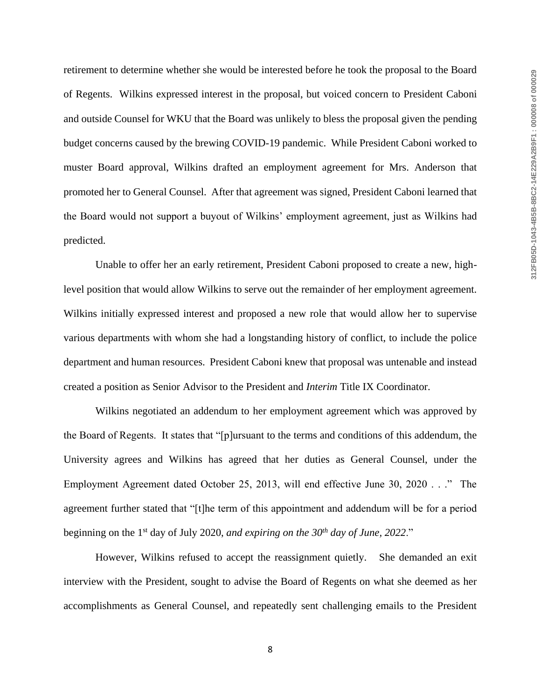retirement to determine whether she would be interested before he took the proposal to the Board of Regents. Wilkins expressed interest in the proposal, but voiced concern to President Caboni and outside Counsel for WKU that the Board was unlikely to bless the proposal given the pending budget concerns caused by the brewing COVID-19 pandemic. While President Caboni worked to muster Board approval, Wilkins drafted an employment agreement for Mrs. Anderson that promoted her to General Counsel. After that agreement was signed, President Caboni learned that the Board would not support a buyout of Wilkins' employment agreement, just as Wilkins had predicted.

Unable to offer her an early retirement, President Caboni proposed to create a new, highlevel position that would allow Wilkins to serve out the remainder of her employment agreement. Wilkins initially expressed interest and proposed a new role that would allow her to supervise various departments with whom she had a longstanding history of conflict, to include the police department and human resources. President Caboni knew that proposal was untenable and instead created a position as Senior Advisor to the President and *Interim* Title IX Coordinator.

Wilkins negotiated an addendum to her employment agreement which was approved by the Board of Regents. It states that "[p]ursuant to the terms and conditions of this addendum, the University agrees and Wilkins has agreed that her duties as General Counsel, under the Employment Agreement dated October 25, 2013, will end effective June 30, 2020 . . ." The agreement further stated that "[t]he term of this appointment and addendum will be for a period beginning on the 1st day of July 2020, *and expiring on the 30th day of June, 2022*."

However, Wilkins refused to accept the reassignment quietly. She demanded an exit interview with the President, sought to advise the Board of Regents on what she deemed as her accomplishments as General Counsel, and repeatedly sent challenging emails to the President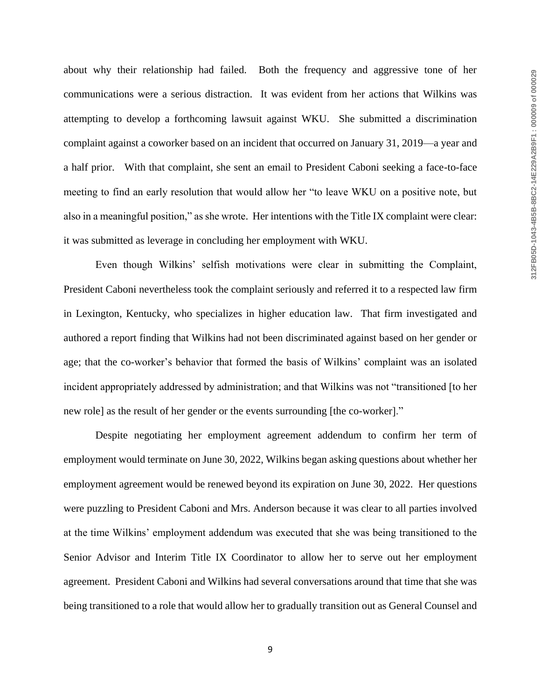about why their relationship had failed. Both the frequency and aggressive tone of her communications were a serious distraction. It was evident from her actions that Wilkins was attempting to develop a forthcoming lawsuit against WKU. She submitted a discrimination complaint against a coworker based on an incident that occurred on January 31, 2019—a year and a half prior. With that complaint, she sent an email to President Caboni seeking a face-to-face meeting to find an early resolution that would allow her "to leave WKU on a positive note, but also in a meaningful position," as she wrote. Her intentions with the Title IX complaint were clear: it was submitted as leverage in concluding her employment with WKU.

Even though Wilkins' selfish motivations were clear in submitting the Complaint, President Caboni nevertheless took the complaint seriously and referred it to a respected law firm in Lexington, Kentucky, who specializes in higher education law. That firm investigated and authored a report finding that Wilkins had not been discriminated against based on her gender or age; that the co-worker's behavior that formed the basis of Wilkins' complaint was an isolated incident appropriately addressed by administration; and that Wilkins was not "transitioned [to her new role] as the result of her gender or the events surrounding [the co-worker]."

Despite negotiating her employment agreement addendum to confirm her term of employment would terminate on June 30, 2022, Wilkins began asking questions about whether her employment agreement would be renewed beyond its expiration on June 30, 2022. Her questions were puzzling to President Caboni and Mrs. Anderson because it was clear to all parties involved at the time Wilkins' employment addendum was executed that she was being transitioned to the Senior Advisor and Interim Title IX Coordinator to allow her to serve out her employment agreement. President Caboni and Wilkins had several conversations around that time that she was being transitioned to a role that would allow her to gradually transition out as General Counsel and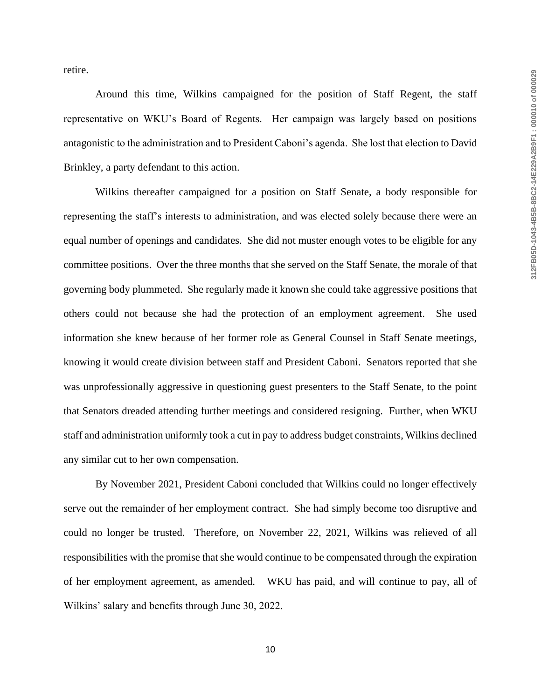retire.

Around this time, Wilkins campaigned for the position of Staff Regent, the staff representative on WKU's Board of Regents. Her campaign was largely based on positions antagonistic to the administration and to President Caboni's agenda. She lost that election to David Brinkley, a party defendant to this action.

Wilkins thereafter campaigned for a position on Staff Senate, a body responsible for representing the staff's interests to administration, and was elected solely because there were an equal number of openings and candidates. She did not muster enough votes to be eligible for any committee positions. Over the three months that she served on the Staff Senate, the morale of that governing body plummeted. She regularly made it known she could take aggressive positions that others could not because she had the protection of an employment agreement. She used information she knew because of her former role as General Counsel in Staff Senate meetings, knowing it would create division between staff and President Caboni. Senators reported that she was unprofessionally aggressive in questioning guest presenters to the Staff Senate, to the point that Senators dreaded attending further meetings and considered resigning. Further, when WKU staff and administration uniformly took a cut in pay to address budget constraints, Wilkins declined any similar cut to her own compensation.

By November 2021, President Caboni concluded that Wilkins could no longer effectively serve out the remainder of her employment contract. She had simply become too disruptive and could no longer be trusted. Therefore, on November 22, 2021, Wilkins was relieved of all responsibilities with the promise that she would continue to be compensated through the expiration of her employment agreement, as amended. WKU has paid, and will continue to pay, all of Wilkins' salary and benefits through June 30, 2022.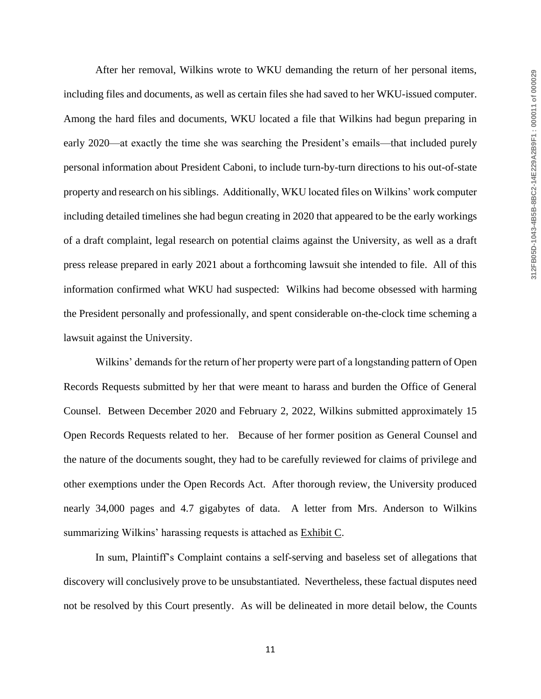After her removal, Wilkins wrote to WKU demanding the return of her personal items, including files and documents, as well as certain files she had saved to her WKU-issued computer. Among the hard files and documents, WKU located a file that Wilkins had begun preparing in early 2020—at exactly the time she was searching the President's emails—that included purely personal information about President Caboni, to include turn-by-turn directions to his out-of-state property and research on his siblings. Additionally, WKU located files on Wilkins' work computer including detailed timelines she had begun creating in 2020 that appeared to be the early workings of a draft complaint, legal research on potential claims against the University, as well as a draft press release prepared in early 2021 about a forthcoming lawsuit she intended to file. All of this information confirmed what WKU had suspected: Wilkins had become obsessed with harming the President personally and professionally, and spent considerable on-the-clock time scheming a lawsuit against the University.

Wilkins' demands for the return of her property were part of a longstanding pattern of Open Records Requests submitted by her that were meant to harass and burden the Office of General Counsel. Between December 2020 and February 2, 2022, Wilkins submitted approximately 15 Open Records Requests related to her. Because of her former position as General Counsel and the nature of the documents sought, they had to be carefully reviewed for claims of privilege and other exemptions under the Open Records Act. After thorough review, the University produced nearly 34,000 pages and 4.7 gigabytes of data. A letter from Mrs. Anderson to Wilkins summarizing Wilkins' harassing requests is attached as Exhibit C.

In sum, Plaintiff's Complaint contains a self-serving and baseless set of allegations that discovery will conclusively prove to be unsubstantiated. Nevertheless, these factual disputes need not be resolved by this Court presently. As will be delineated in more detail below, the Counts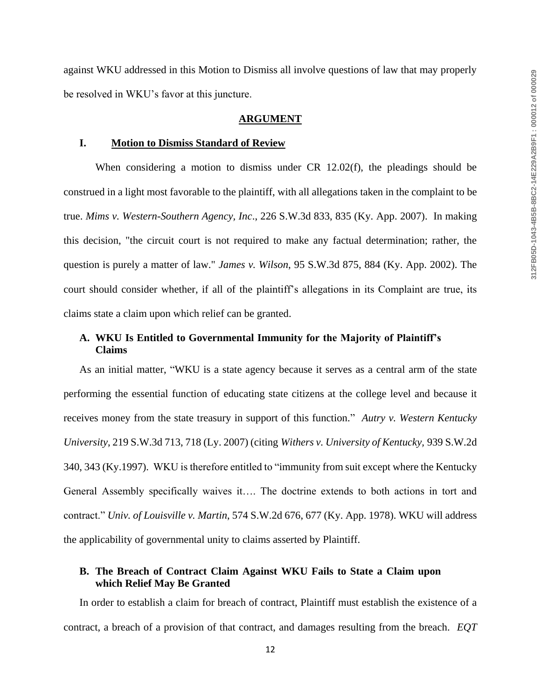against WKU addressed in this Motion to Dismiss all involve questions of law that may properly be resolved in WKU's favor at this juncture.

#### **ARGUMENT**

#### **I. Motion to Dismiss Standard of Review**

When considering a motion to dismiss under CR 12.02(f), the pleadings should be construed in a light most favorable to the plaintiff, with all allegations taken in the complaint to be true. *Mims v. Western-Southern Agency, Inc*., 226 S.W.3d 833, 835 (Ky. App. 2007). In making this decision, "the circuit court is not required to make any factual determination; rather, the question is purely a matter of law." *James v. Wilson*, 95 S.W.3d 875, 884 (Ky. App. 2002). The court should consider whether, if all of the plaintiff's allegations in its Complaint are true, its claims state a claim upon which relief can be granted.

## **A. WKU Is Entitled to Governmental Immunity for the Majority of Plaintiff's Claims**

As an initial matter, "WKU is a state agency because it serves as a central arm of the state performing the essential function of educating state citizens at the college level and because it receives money from the state treasury in support of this function." *Autry v. Western Kentucky University*, 219 S.W.3d 713, 718 (Ly. 2007) (citing *Withers v. University of Kentucky,* 939 S.W.2d 340, 343 (Ky.1997). WKU is therefore entitled to "immunity from suit except where the Kentucky General Assembly specifically waives it…. The doctrine extends to both actions in tort and contract." *Univ. of Louisville v. Martin*, 574 S.W.2d 676, 677 (Ky. App. 1978). WKU will address the applicability of governmental unity to claims asserted by Plaintiff.

## **B. The Breach of Contract Claim Against WKU Fails to State a Claim upon which Relief May Be Granted**

In order to establish a claim for breach of contract, Plaintiff must establish the existence of a contract, a breach of a provision of that contract, and damages resulting from the breach. *EQT*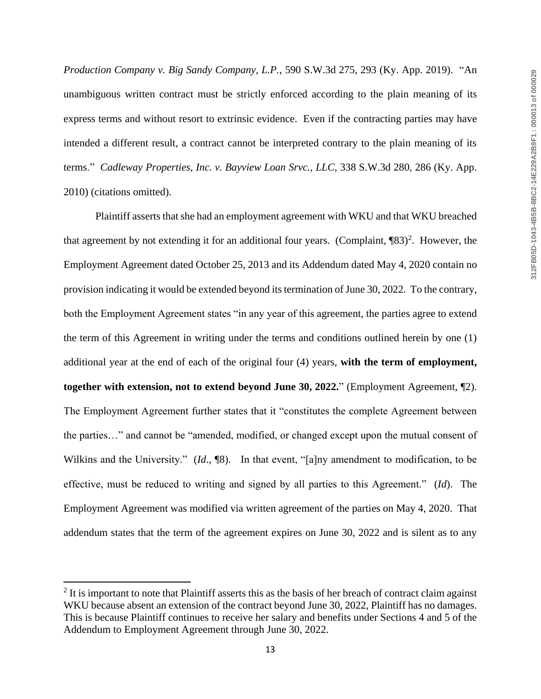*Production Company v. Big Sandy Company, L.P.*, 590 S.W.3d 275, 293 (Ky. App. 2019). "An unambiguous written contract must be strictly enforced according to the plain meaning of its express terms and without resort to extrinsic evidence. Even if the contracting parties may have intended a different result, a contract cannot be interpreted contrary to the plain meaning of its terms." *Cadleway Properties, Inc. v. Bayview Loan Srvc., LLC*, 338 S.W.3d 280, 286 (Ky. App. 2010) (citations omitted).

Plaintiff asserts that she had an employment agreement with WKU and that WKU breached that agreement by not extending it for an additional four years. (Complaint,  $[83)^2$ . However, the Employment Agreement dated October 25, 2013 and its Addendum dated May 4, 2020 contain no provision indicating it would be extended beyond its termination of June 30, 2022. To the contrary, both the Employment Agreement states "in any year of this agreement, the parties agree to extend the term of this Agreement in writing under the terms and conditions outlined herein by one (1) additional year at the end of each of the original four (4) years, **with the term of employment, together with extension, not to extend beyond June 30, 2022.**" (Employment Agreement, ¶2). The Employment Agreement further states that it "constitutes the complete Agreement between the parties…" and cannot be "amended, modified, or changed except upon the mutual consent of Wilkins and the University." (*Id.*, <sup>[8]</sup>). In that event, "[a]ny amendment to modification, to be effective, must be reduced to writing and signed by all parties to this Agreement." (*Id*). The Employment Agreement was modified via written agreement of the parties on May 4, 2020. That addendum states that the term of the agreement expires on June 30, 2022 and is silent as to any

 $\overline{\phantom{a}}$ 

 $2$  It is important to note that Plaintiff asserts this as the basis of her breach of contract claim against WKU because absent an extension of the contract beyond June 30, 2022, Plaintiff has no damages. This is because Plaintiff continues to receive her salary and benefits under Sections 4 and 5 of the Addendum to Employment Agreement through June 30, 2022.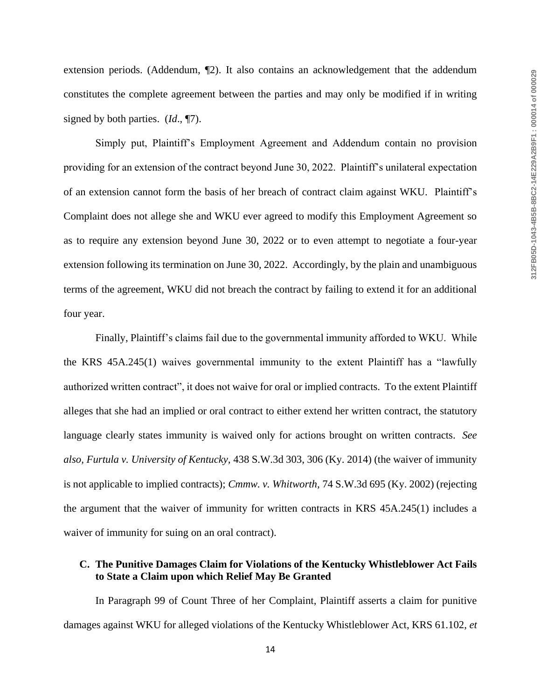extension periods. (Addendum, ¶2). It also contains an acknowledgement that the addendum constitutes the complete agreement between the parties and may only be modified if in writing signed by both parties. (*Id*., ¶7).

Simply put, Plaintiff's Employment Agreement and Addendum contain no provision providing for an extension of the contract beyond June 30, 2022. Plaintiff's unilateral expectation of an extension cannot form the basis of her breach of contract claim against WKU. Plaintiff's Complaint does not allege she and WKU ever agreed to modify this Employment Agreement so as to require any extension beyond June 30, 2022 or to even attempt to negotiate a four-year extension following its termination on June 30, 2022. Accordingly, by the plain and unambiguous terms of the agreement, WKU did not breach the contract by failing to extend it for an additional four year.

Finally, Plaintiff's claims fail due to the governmental immunity afforded to WKU. While the KRS 45A.245(1) waives governmental immunity to the extent Plaintiff has a "lawfully authorized written contract", it does not waive for oral or implied contracts. To the extent Plaintiff alleges that she had an implied or oral contract to either extend her written contract, the statutory language clearly states immunity is waived only for actions brought on written contracts. *See also, Furtula v. University of Kentucky,* 438 S.W.3d 303, 306 (Ky. 2014) (the waiver of immunity is not applicable to implied contracts); *Cmmw. v. Whitworth,* 74 S.W.3d 695 (Ky. 2002) (rejecting the argument that the waiver of immunity for written contracts in KRS 45A.245(1) includes a waiver of immunity for suing on an oral contract).

### **C. The Punitive Damages Claim for Violations of the Kentucky Whistleblower Act Fails to State a Claim upon which Relief May Be Granted**

In Paragraph 99 of Count Three of her Complaint, Plaintiff asserts a claim for punitive damages against WKU for alleged violations of the Kentucky Whistleblower Act, KRS 61.102, *et*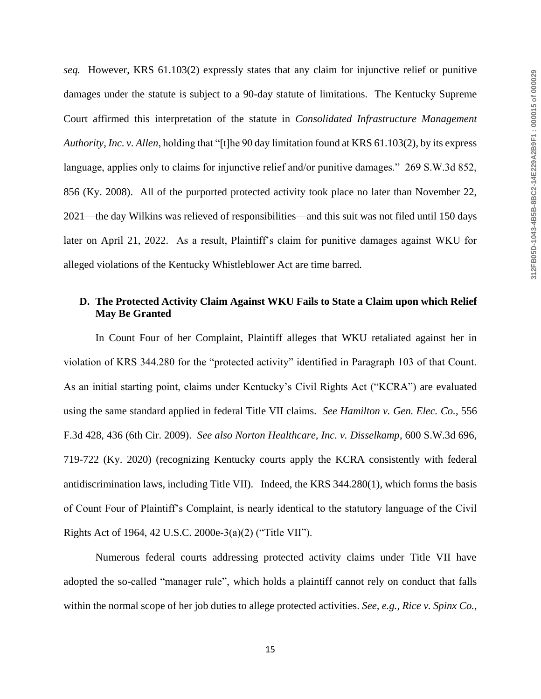*seq.* However, KRS 61.103(2) expressly states that any claim for injunctive relief or punitive damages under the statute is subject to a 90-day statute of limitations. The Kentucky Supreme Court affirmed this interpretation of the statute in *Consolidated Infrastructure Management Authority, Inc. v. Allen*, holding that "[t]he 90 day limitation found at KRS 61.103(2), by its express language, applies only to claims for injunctive relief and/or punitive damages." 269 S.W.3d 852, 856 (Ky. 2008). All of the purported protected activity took place no later than November 22, 2021—the day Wilkins was relieved of responsibilities—and this suit was not filed until 150 days later on April 21, 2022. As a result, Plaintiff's claim for punitive damages against WKU for alleged violations of the Kentucky Whistleblower Act are time barred.

## **D. The Protected Activity Claim Against WKU Fails to State a Claim upon which Relief May Be Granted**

In Count Four of her Complaint, Plaintiff alleges that WKU retaliated against her in violation of KRS 344.280 for the "protected activity" identified in Paragraph 103 of that Count. As an initial starting point, claims under Kentucky's Civil Rights Act ("KCRA") are evaluated using the same standard applied in federal Title VII claims. *See Hamilton v. Gen. Elec. Co.*, 556 F.3d 428, 436 (6th Cir. 2009). *See also Norton Healthcare, Inc. v. Disselkamp*, 600 S.W.3d 696, 719-722 (Ky. 2020) (recognizing Kentucky courts apply the KCRA consistently with federal antidiscrimination laws, including Title VII). Indeed, the KRS 344.280(1), which forms the basis of Count Four of Plaintiff's Complaint, is nearly identical to the statutory language of the Civil Rights Act of 1964, 42 U.S.C. 2000e-3(a)(2) ("Title VII").

Numerous federal courts addressing protected activity claims under Title VII have adopted the so-called "manager rule", which holds a plaintiff cannot rely on conduct that falls within the normal scope of her job duties to allege protected activities. *See, e.g., Rice v. Spinx Co.,*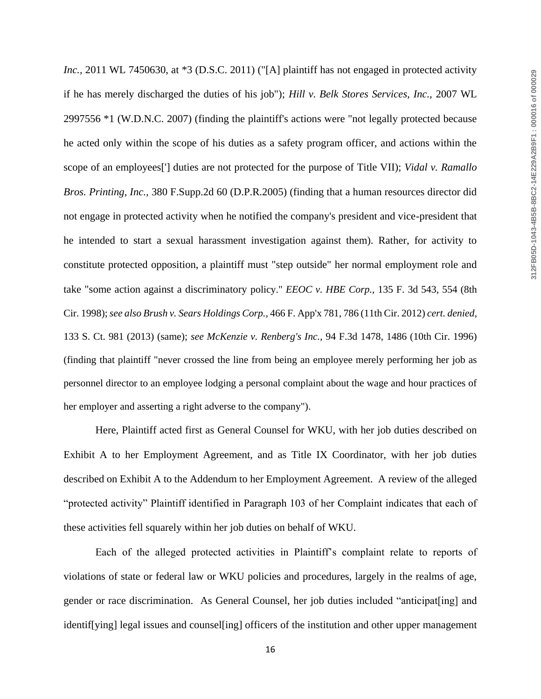*Inc.,* 2011 WL 7450630, at \*3 (D.S.C. 2011) ("[A] plaintiff has not engaged in protected activity if he has merely discharged the duties of his job"); *Hill v. Belk Stores Services, Inc.,* 2007 WL 2997556 \*1 (W.D.N.C. 2007) (finding the plaintiff's actions were "not legally protected because he acted only within the scope of his duties as a safety program officer, and actions within the scope of an employees['] duties are not protected for the purpose of Title VII); *Vidal v. Ramallo Bros. Printing, Inc.,* 380 F.Supp.2d 60 (D.P.R.2005) (finding that a human resources director did not engage in protected activity when he notified the company's president and vice-president that he intended to start a sexual harassment investigation against them). Rather, for activity to constitute protected opposition, a plaintiff must "step outside" her normal employment role and take "some action against a discriminatory policy." *EEOC v. HBE Corp.,* 135 F. 3d 543, 554 (8th Cir. 1998); *see also Brush v. Sears Holdings Corp.,* 466 F. App'x 781, 786 (11th Cir. 2012) *cert. denied,*  133 S. Ct. 981 (2013) (same); *see McKenzie v. Renberg's Inc.,* 94 F.3d 1478, 1486 (10th Cir. 1996) (finding that plaintiff "never crossed the line from being an employee merely performing her job as personnel director to an employee lodging a personal complaint about the wage and hour practices of her employer and asserting a right adverse to the company").

Here, Plaintiff acted first as General Counsel for WKU, with her job duties described on Exhibit A to her Employment Agreement, and as Title IX Coordinator, with her job duties described on Exhibit A to the Addendum to her Employment Agreement. A review of the alleged "protected activity" Plaintiff identified in Paragraph 103 of her Complaint indicates that each of these activities fell squarely within her job duties on behalf of WKU.

Each of the alleged protected activities in Plaintiff's complaint relate to reports of violations of state or federal law or WKU policies and procedures, largely in the realms of age, gender or race discrimination. As General Counsel, her job duties included "anticipat[ing] and identif[ying] legal issues and counsel[ing] officers of the institution and other upper management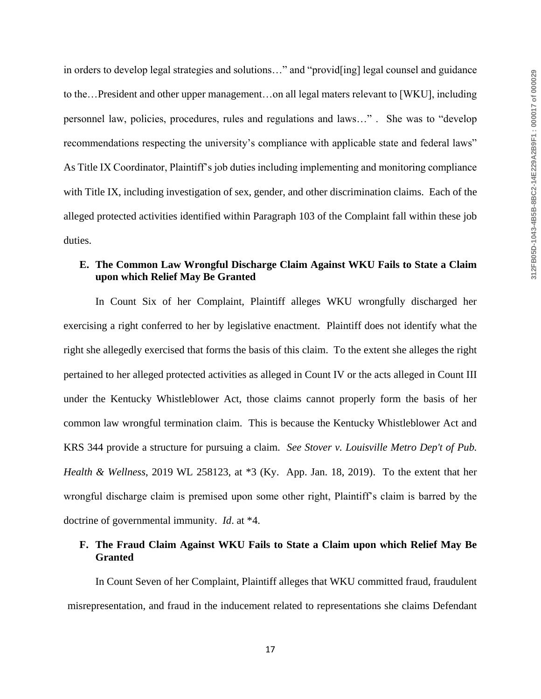in orders to develop legal strategies and solutions…" and "provid[ing] legal counsel and guidance to the…President and other upper management…on all legal maters relevant to [WKU], including personnel law, policies, procedures, rules and regulations and laws…" . She was to "develop recommendations respecting the university's compliance with applicable state and federal laws" As Title IX Coordinator, Plaintiff's job duties including implementing and monitoring compliance with Title IX, including investigation of sex, gender, and other discrimination claims. Each of the alleged protected activities identified within Paragraph 103 of the Complaint fall within these job duties.

# **E. The Common Law Wrongful Discharge Claim Against WKU Fails to State a Claim upon which Relief May Be Granted**

In Count Six of her Complaint, Plaintiff alleges WKU wrongfully discharged her exercising a right conferred to her by legislative enactment. Plaintiff does not identify what the right she allegedly exercised that forms the basis of this claim. To the extent she alleges the right pertained to her alleged protected activities as alleged in Count IV or the acts alleged in Count III under the Kentucky Whistleblower Act, those claims cannot properly form the basis of her common law wrongful termination claim. This is because the Kentucky Whistleblower Act and KRS 344 provide a structure for pursuing a claim. *See Stover v. Louisville Metro Dep't of Pub. Health & Wellness*, 2019 WL 258123, at \*3 (Ky. App. Jan. 18, 2019). To the extent that her wrongful discharge claim is premised upon some other right, Plaintiff's claim is barred by the doctrine of governmental immunity. *Id*. at \*4.

### **F. The Fraud Claim Against WKU Fails to State a Claim upon which Relief May Be Granted**

In Count Seven of her Complaint, Plaintiff alleges that WKU committed fraud, fraudulent misrepresentation, and fraud in the inducement related to representations she claims Defendant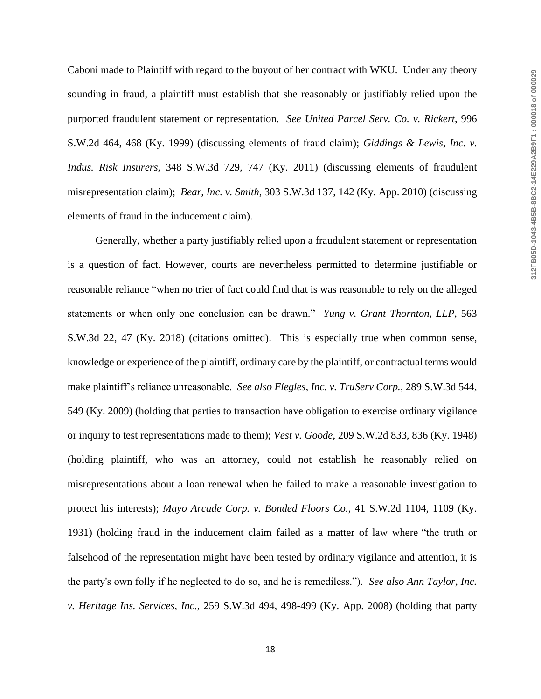Caboni made to Plaintiff with regard to the buyout of her contract with WKU. Under any theory sounding in fraud, a plaintiff must establish that she reasonably or justifiably relied upon the purported fraudulent statement or representation. *See United Parcel Serv. Co. v. Rickert*, 996 S.W.2d 464, 468 (Ky. 1999) (discussing elements of fraud claim); *Giddings & Lewis, Inc. v. Indus. Risk Insurers*, 348 S.W.3d 729, 747 (Ky. 2011) (discussing elements of fraudulent misrepresentation claim); *Bear, Inc. v. Smith*, 303 S.W.3d 137, 142 (Ky. App. 2010) (discussing elements of fraud in the inducement claim).

Generally, whether a party justifiably relied upon a fraudulent statement or representation is a question of fact. However, courts are nevertheless permitted to determine justifiable or reasonable reliance "when no trier of fact could find that is was reasonable to rely on the alleged statements or when only one conclusion can be drawn." *Yung v. Grant Thornton, LLP*, 563 S.W.3d 22, 47 (Ky. 2018) (citations omitted). This is especially true when common sense, knowledge or experience of the plaintiff, ordinary care by the plaintiff, or contractual terms would make plaintiff's reliance unreasonable. *See also Flegles, Inc. v. TruServ Corp.*, 289 S.W.3d 544, 549 (Ky. 2009) (holding that parties to transaction have obligation to exercise ordinary vigilance or inquiry to test representations made to them); *Vest v. Goode*, 209 S.W.2d 833, 836 (Ky. 1948) (holding plaintiff, who was an attorney, could not establish he reasonably relied on misrepresentations about a loan renewal when he failed to make a reasonable investigation to protect his interests); *Mayo Arcade Corp. v. Bonded Floors Co.*, 41 S.W.2d 1104, 1109 (Ky. 1931) (holding fraud in the inducement claim failed as a matter of law where "the truth or falsehood of the representation might have been tested by ordinary vigilance and attention, it is the party's own folly if he neglected to do so, and he is remediless."). *See also Ann Taylor, Inc. v. Heritage Ins. Services, Inc.*, 259 S.W.3d 494, 498-499 (Ky. App. 2008) (holding that party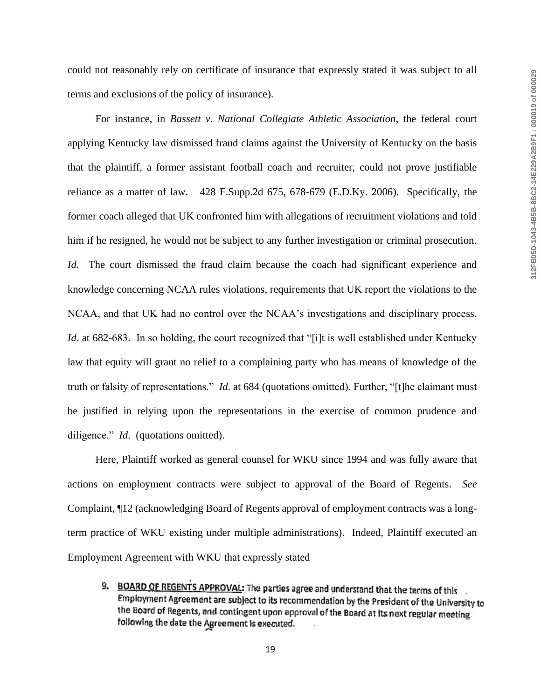could not reasonably rely on certificate of insurance that expressly stated it was subject to all terms and exclusions of the policy of insurance).

For instance, in *Bassett v. National Collegiate Athletic Association*, the federal court applying Kentucky law dismissed fraud claims against the University of Kentucky on the basis that the plaintiff, a former assistant football coach and recruiter, could not prove justifiable reliance as a matter of law. 428 F.Supp.2d 675, 678-679 (E.D.Ky. 2006). Specifically, the former coach alleged that UK confronted him with allegations of recruitment violations and told him if he resigned, he would not be subject to any further investigation or criminal prosecution. *Id*. The court dismissed the fraud claim because the coach had significant experience and knowledge concerning NCAA rules violations, requirements that UK report the violations to the NCAA, and that UK had no control over the NCAA's investigations and disciplinary process. *Id.* at 682-683. In so holding, the court recognized that "[i]t is well established under Kentucky law that equity will grant no relief to a complaining party who has means of knowledge of the truth or falsity of representations." *Id*. at 684 (quotations omitted). Further, "[t]he claimant must be justified in relying upon the representations in the exercise of common prudence and diligence." *Id*. (quotations omitted).

Here, Plaintiff worked as general counsel for WKU since 1994 and was fully aware that actions on employment contracts were subject to approval of the Board of Regents. *See*  Complaint, ¶12 (acknowledging Board of Regents approval of employment contracts was a longterm practice of WKU existing under multiple administrations). Indeed, Plaintiff executed an Employment Agreement with WKU that expressly stated

9. BOARD OF REGENTS APPROVAL: The parties agree and understand that the terms of this Employment Agreement are subject to its recommendation by the President of the University to the Board of Regents, and contingent upon approval of the Board at its next regular meeting following the date the Agreement is executed.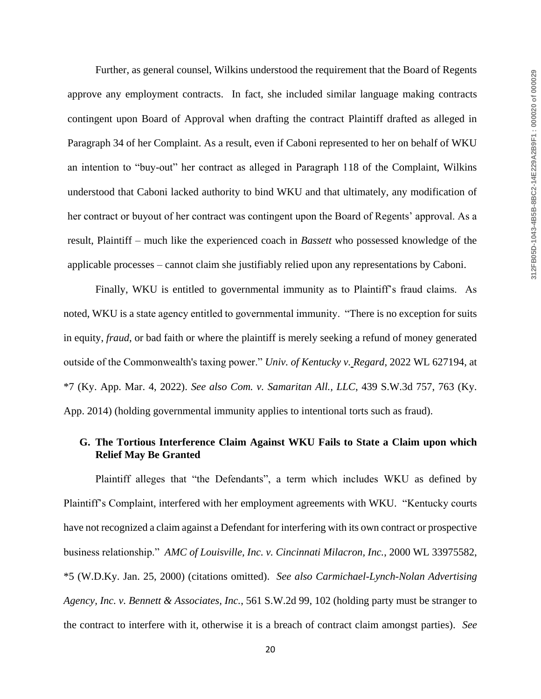Further, as general counsel, Wilkins understood the requirement that the Board of Regents approve any employment contracts. In fact, she included similar language making contracts contingent upon Board of Approval when drafting the contract Plaintiff drafted as alleged in Paragraph 34 of her Complaint. As a result, even if Caboni represented to her on behalf of WKU an intention to "buy-out" her contract as alleged in Paragraph 118 of the Complaint, Wilkins understood that Caboni lacked authority to bind WKU and that ultimately, any modification of her contract or buyout of her contract was contingent upon the Board of Regents' approval. As a result, Plaintiff – much like the experienced coach in *Bassett* who possessed knowledge of the applicable processes – cannot claim she justifiably relied upon any representations by Caboni.

Finally, WKU is entitled to governmental immunity as to Plaintiff's fraud claims. As noted, WKU is a state agency entitled to governmental immunity. "There is no exception for suits in equity, *fraud*, or bad faith or where the plaintiff is merely seeking a refund of money generated outside of the Commonwealth's taxing power." *Univ. of Kentucky v. Regard*, 2022 WL 627194, at \*7 (Ky. App. Mar. 4, 2022). *See also Com. v. Samaritan All., LLC*, 439 S.W.3d 757, 763 (Ky. App. 2014) (holding governmental immunity applies to intentional torts such as fraud).

## **G. The Tortious Interference Claim Against WKU Fails to State a Claim upon which Relief May Be Granted**

Plaintiff alleges that "the Defendants", a term which includes WKU as defined by Plaintiff's Complaint, interfered with her employment agreements with WKU. "Kentucky courts have not recognized a claim against a Defendant for interfering with its own contract or prospective business relationship." *AMC of Louisville, Inc. v. Cincinnati Milacron, Inc.*, 2000 WL 33975582, \*5 (W.D.Ky. Jan. 25, 2000) (citations omitted). *See also Carmichael-Lynch-Nolan Advertising Agency, Inc. v. Bennett & Associates, Inc.*, 561 S.W.2d 99, 102 (holding party must be stranger to the contract to interfere with it, otherwise it is a breach of contract claim amongst parties). *See*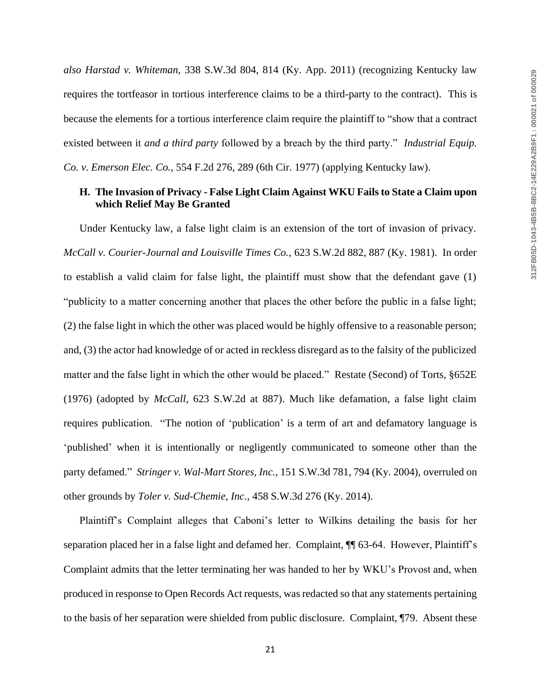*also Harstad v. Whiteman*, 338 S.W.3d 804, 814 (Ky. App. 2011) (recognizing Kentucky law requires the tortfeasor in tortious interference claims to be a third-party to the contract). This is because the elements for a tortious interference claim require the plaintiff to "show that a contract existed between it *and a third party* followed by a breach by the third party." *Industrial Equip. Co. v. Emerson Elec. Co.*, 554 F.2d 276, 289 (6th Cir. 1977) (applying Kentucky law).

#### **H. The Invasion of Privacy - False Light Claim Against WKU Fails to State a Claim upon which Relief May Be Granted**

Under Kentucky law, a false light claim is an extension of the tort of invasion of privacy. *McCall v. Courier-Journal and Louisville Times Co.*, 623 S.W.2d 882, 887 (Ky. 1981). In order to establish a valid claim for false light, the plaintiff must show that the defendant gave (1) "publicity to a matter concerning another that places the other before the public in a false light; (2) the false light in which the other was placed would be highly offensive to a reasonable person; and, (3) the actor had knowledge of or acted in reckless disregard as to the falsity of the publicized matter and the false light in which the other would be placed." Restate (Second) of Torts, §652E (1976) (adopted by *McCall*, 623 S.W.2d at 887). Much like defamation, a false light claim requires publication. "The notion of 'publication' is a term of art and defamatory language is 'published' when it is intentionally or negligently communicated to someone other than the party defamed." *Stringer v. Wal-Mart Stores, Inc.*, 151 S.W.3d 781, 794 (Ky. 2004), overruled on other grounds by *Toler v. Sud-Chemie, Inc.*, 458 S.W.3d 276 (Ky. 2014).

Plaintiff's Complaint alleges that Caboni's letter to Wilkins detailing the basis for her separation placed her in a false light and defamed her. Complaint, ¶¶ 63-64. However, Plaintiff's Complaint admits that the letter terminating her was handed to her by WKU's Provost and, when produced in response to Open Records Act requests, was redacted so that any statements pertaining to the basis of her separation were shielded from public disclosure. Complaint, ¶79. Absent these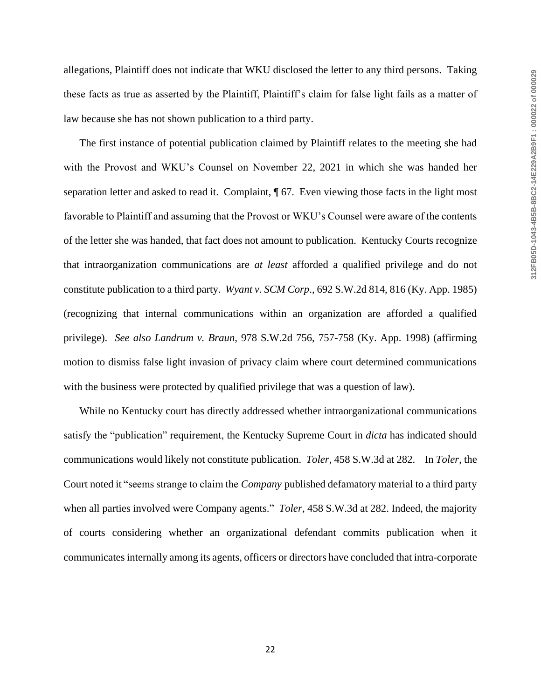allegations, Plaintiff does not indicate that WKU disclosed the letter to any third persons. Taking these facts as true as asserted by the Plaintiff, Plaintiff's claim for false light fails as a matter of law because she has not shown publication to a third party.

The first instance of potential publication claimed by Plaintiff relates to the meeting she had with the Provost and WKU's Counsel on November 22, 2021 in which she was handed her separation letter and asked to read it. Complaint,  $\sqrt{67}$ . Even viewing those facts in the light most favorable to Plaintiff and assuming that the Provost or WKU's Counsel were aware of the contents of the letter she was handed, that fact does not amount to publication. Kentucky Courts recognize that intraorganization communications are *at least* afforded a qualified privilege and do not constitute publication to a third party. *Wyant v. SCM Corp*., 692 S.W.2d 814, 816 (Ky. App. 1985) (recognizing that internal communications within an organization are afforded a qualified privilege). *See also Landrum v. Braun*, 978 S.W.2d 756, 757-758 (Ky. App. 1998) (affirming motion to dismiss false light invasion of privacy claim where court determined communications with the business were protected by qualified privilege that was a question of law).

While no Kentucky court has directly addressed whether intraorganizational communications satisfy the "publication" requirement, the Kentucky Supreme Court in *dicta* has indicated should communications would likely not constitute publication. *Toler*, 458 S.W.3d at 282. In *Toler*, the Court noted it "seems strange to claim the *Company* published defamatory material to a third party when all parties involved were Company agents." *Toler*, 458 S.W.3d at 282. Indeed, the majority of courts considering whether an organizational defendant commits publication when it communicates internally among its agents, officers or directors have concluded that intra-corporate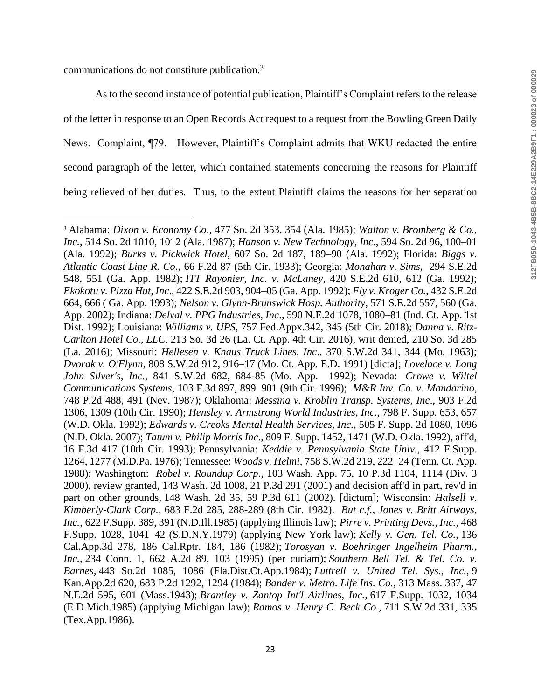communications do not constitute publication.<sup>3</sup>

 $\overline{\phantom{a}}$ 

As to the second instance of potential publication, Plaintiff's Complaint refers to the release of the letter in response to an Open Records Act request to a request from the Bowling Green Daily News. Complaint, ¶79. However, Plaintiff's Complaint admits that WKU redacted the entire second paragraph of the letter, which contained statements concerning the reasons for Plaintiff being relieved of her duties. Thus, to the extent Plaintiff claims the reasons for her separation

<sup>3</sup> Alabama: *Dixon v. Economy Co*., 477 So. 2d 353, 354 (Ala. 1985); *Walton v. Bromberg & Co., Inc.*, 514 So. 2d 1010, 1012 (Ala. 1987); *Hanson v. New Technology, Inc*., 594 So. 2d 96, 100–01 (Ala. 1992); *Burks v. Pickwick Hotel*, 607 So. 2d 187, 189–90 (Ala. 1992); Florida: *Biggs v. Atlantic Coast Line R. Co.*, 66 F.2d 87 (5th Cir. 1933); Georgia: *Monahan v. Sims*, 294 S.E.2d 548, 551 (Ga. App. 1982); *ITT Rayonier, Inc. v. McLaney*, 420 S.E.2d 610, 612 (Ga. 1992); *Ekokotu v. Pizza Hut, Inc*., 422 S.E.2d 903, 904–05 (Ga. App. 1992); *Fly v. Kroger Co.*, 432 S.E.2d 664, 666 ( Ga. App. 1993); *Nelson v. Glynn-Brunswick Hosp. Authority*, 571 S.E.2d 557, 560 (Ga. App. 2002); Indiana: *Delval v. PPG Industries, Inc*., 590 N.E.2d 1078, 1080–81 (Ind. Ct. App. 1st Dist. 1992); Louisiana: *Williams v. UPS*, 757 Fed.Appx.342, 345 (5th Cir. 2018); *Danna v. Ritz-Carlton Hotel Co., LLC*, 213 So. 3d 26 (La. Ct. App. 4th Cir. 2016), writ denied, 210 So. 3d 285 (La. 2016); Missouri: *Hellesen v. Knaus Truck Lines, Inc*., 370 S.W.2d 341, 344 (Mo. 1963); *Dvorak v. O'Flynn*, 808 S.W.2d 912, 916–17 (Mo. Ct. App. E.D. 1991) [dicta]; *Lovelace v. Long John Silver's, Inc.*, 841 S.W.2d 682, 684-85 (Mo. App. 1992); Nevada: *Crowe v. Wiltel Communications Systems*, 103 F.3d 897, 899–901 (9th Cir. 1996); *M&R Inv. Co. v. Mandarino*, 748 P.2d 488, 491 (Nev. 1987); Oklahoma: *Messina v. Kroblin Transp. Systems, Inc*., 903 F.2d 1306, 1309 (10th Cir. 1990); *Hensley v. Armstrong World Industries, Inc*., 798 F. Supp. 653, 657 (W.D. Okla. 1992); *Edwards v. Creoks Mental Health Services, Inc.,* 505 F. Supp. 2d 1080, 1096 (N.D. Okla. 2007); *Tatum v. Philip Morris Inc*., 809 F. Supp. 1452, 1471 (W.D. Okla. 1992), aff'd, 16 F.3d 417 (10th Cir. 1993); Pennsylvania: *Keddie v. Pennsylvania State Univ.*, 412 F.Supp. 1264, 1277 (M.D.Pa. 1976); Tennessee: *Woods v. Helmi*, 758 S.W.2d 219, 222–24 (Tenn. Ct. App. 1988); Washington: *Robel v. Roundup Corp*., 103 Wash. App. 75, 10 P.3d 1104, 1114 (Div. 3 2000), review granted, 143 Wash. 2d 1008, 21 P.3d 291 (2001) and decision aff'd in part, rev'd in part on other grounds, 148 Wash. 2d 35, 59 P.3d 611 (2002). [dictum]; Wisconsin: *Halsell v. Kimberly-Clark Corp.*, 683 F.2d 285, 288-289 (8th Cir. 1982). *But c.f., Jones v. Britt Airways, Inc.,* 622 F.Supp. 389, 391 (N.D.Ill.1985) (applying Illinois law); *Pirre v. Printing Devs., Inc.,* 468 F.Supp. 1028, 1041–42 (S.D.N.Y.1979) (applying New York law); *Kelly v. Gen. Tel. Co.,* 136 Cal.App.3d 278, 186 Cal.Rptr. 184, 186 (1982); *Torosyan v. Boehringer Ingelheim Pharm., Inc.,* 234 Conn. 1, 662 A.2d 89, 103 (1995) (per curiam); *Southern Bell Tel. & Tel. Co. v. Barnes,* 443 So.2d 1085, 1086 (Fla.Dist.Ct.App.1984); *Luttrell v. United Tel. Sys., Inc.,* 9 Kan.App.2d 620, 683 P.2d 1292, 1294 (1984); *Bander v. Metro. Life Ins. Co.,* 313 Mass. 337, 47 N.E.2d 595, 601 (Mass.1943); *Brantley v. Zantop Int'l Airlines, Inc.,* 617 F.Supp. 1032, 1034 (E.D.Mich.1985) (applying Michigan law); *Ramos v. Henry C. Beck Co.,* 711 S.W.2d 331, 335 (Tex.App.1986).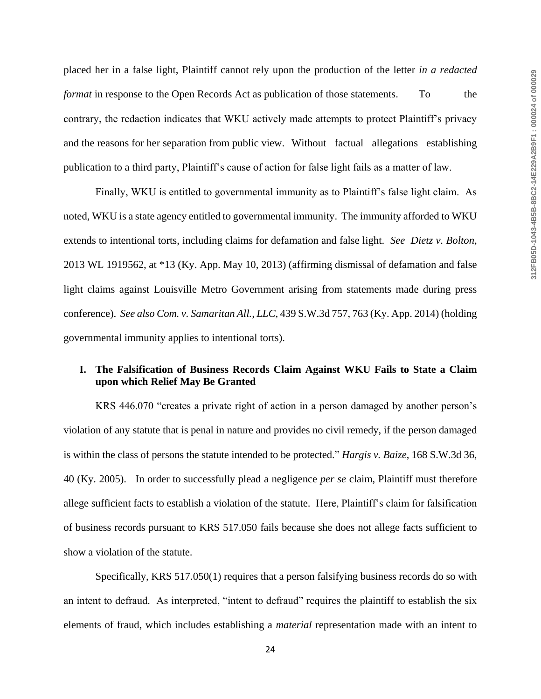placed her in a false light, Plaintiff cannot rely upon the production of the letter *in a redacted format* in response to the Open Records Act as publication of those statements. To the contrary, the redaction indicates that WKU actively made attempts to protect Plaintiff's privacy and the reasons for her separation from public view. Without factual allegations establishing publication to a third party, Plaintiff's cause of action for false light fails as a matter of law.

Finally, WKU is entitled to governmental immunity as to Plaintiff's false light claim. As noted, WKU is a state agency entitled to governmental immunity. The immunity afforded to WKU extends to intentional torts, including claims for defamation and false light. *See Dietz v. Bolton*, 2013 WL 1919562, at \*13 (Ky. App. May 10, 2013) (affirming dismissal of defamation and false light claims against Louisville Metro Government arising from statements made during press conference). *See also Com. v. Samaritan All., LLC*, 439 S.W.3d 757, 763 (Ky. App. 2014) (holding governmental immunity applies to intentional torts).

## **I. The Falsification of Business Records Claim Against WKU Fails to State a Claim upon which Relief May Be Granted**

KRS 446.070 "creates a private right of action in a person damaged by another person's violation of any statute that is penal in nature and provides no civil remedy, if the person damaged is within the class of persons the statute intended to be protected." *Hargis v. Baize*, 168 S.W.3d 36, 40 (Ky. 2005). In order to successfully plead a negligence *per se* claim, Plaintiff must therefore allege sufficient facts to establish a violation of the statute. Here, Plaintiff's claim for falsification of business records pursuant to KRS 517.050 fails because she does not allege facts sufficient to show a violation of the statute.

Specifically, KRS 517.050(1) requires that a person falsifying business records do so with an intent to defraud. As interpreted, "intent to defraud" requires the plaintiff to establish the six elements of fraud, which includes establishing a *material* representation made with an intent to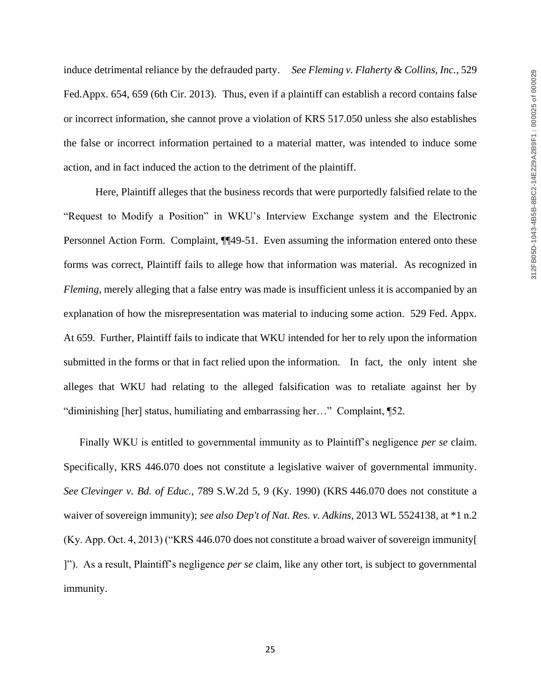induce detrimental reliance by the defrauded party. *See Fleming v. Flaherty & Collins, Inc.*, 529 Fed.Appx. 654, 659 (6th Cir. 2013). Thus, even if a plaintiff can establish a record contains false or incorrect information, she cannot prove a violation of KRS 517.050 unless she also establishes the false or incorrect information pertained to a material matter, was intended to induce some action, and in fact induced the action to the detriment of the plaintiff.

Here, Plaintiff alleges that the business records that were purportedly falsified relate to the "Request to Modify a Position" in WKU's Interview Exchange system and the Electronic Personnel Action Form. Complaint, ¶¶49-51. Even assuming the information entered onto these forms was correct, Plaintiff fails to allege how that information was material. As recognized in *Fleming*, merely alleging that a false entry was made is insufficient unless it is accompanied by an explanation of how the misrepresentation was material to inducing some action. 529 Fed. Appx. At 659. Further, Plaintiff fails to indicate that WKU intended for her to rely upon the information submitted in the forms or that in fact relied upon the information. In fact, the only intent she alleges that WKU had relating to the alleged falsification was to retaliate against her by "diminishing [her] status, humiliating and embarrassing her…" Complaint, ¶52.

Finally WKU is entitled to governmental immunity as to Plaintiff's negligence *per se* claim. Specifically, KRS 446.070 does not constitute a legislative waiver of governmental immunity. *See Clevinger v. Bd. of Educ.*, 789 S.W.2d 5, 9 (Ky. 1990) (KRS 446.070 does not constitute a waiver of sovereign immunity); *see also Dep't of Nat. Res. v. Adkins*, 2013 WL 5524138, at \*1 n.2 (Ky. App. Oct. 4, 2013) ("KRS 446.070 does not constitute a broad waiver of sovereign immunity[ ]"). As a result, Plaintiff's negligence *per se* claim, like any other tort, is subject to governmental immunity.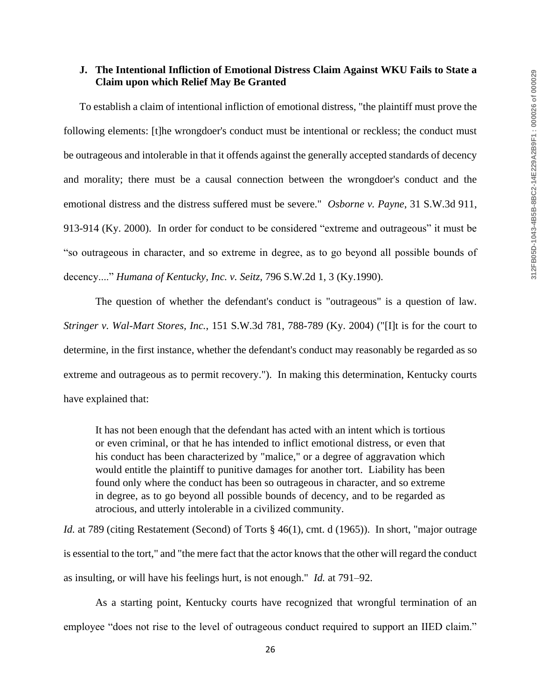#### **J. The Intentional Infliction of Emotional Distress Claim Against WKU Fails to State a Claim upon which Relief May Be Granted**

To establish a claim of intentional infliction of emotional distress, "the plaintiff must prove the following elements: [t]he wrongdoer's conduct must be intentional or reckless; the conduct must be outrageous and intolerable in that it offends against the generally accepted standards of decency and morality; there must be a causal connection between the wrongdoer's conduct and the emotional distress and the distress suffered must be severe." *Osborne v. Payne*, 31 S.W.3d 911, 913-914 (Ky. 2000). In order for conduct to be considered "extreme and outrageous" it must be "so outrageous in character, and so extreme in degree, as to go beyond all possible bounds of decency...." *Humana of Kentucky, Inc. v. Seitz,* 796 S.W.2d 1, 3 (Ky.1990).

The question of whether the defendant's conduct is "outrageous" is a question of law. *Stringer v. Wal-Mart Stores, Inc.*, 151 S.W.3d 781, 788-789 (Ky. 2004) ("[I]t is for the court to determine, in the first instance, whether the defendant's conduct may reasonably be regarded as so extreme and outrageous as to permit recovery."). In making this determination, Kentucky courts have explained that:

It has not been enough that the defendant has acted with an intent which is tortious or even criminal, or that he has intended to inflict emotional distress, or even that his conduct has been characterized by "malice," or a degree of aggravation which would entitle the plaintiff to punitive damages for another tort. Liability has been found only where the conduct has been so outrageous in character, and so extreme in degree, as to go beyond all possible bounds of decency, and to be regarded as atrocious, and utterly intolerable in a civilized community.

*Id.* at 789 (citing Restatement (Second) of Torts § 46(1), cmt. d (1965)). In short, "major outrage is essential to the tort," and "the mere fact that the actor knows that the other will regard the conduct as insulting, or will have his feelings hurt, is not enough." *Id.* at 791–92.

As a starting point, Kentucky courts have recognized that wrongful termination of an employee "does not rise to the level of outrageous conduct required to support an IIED claim."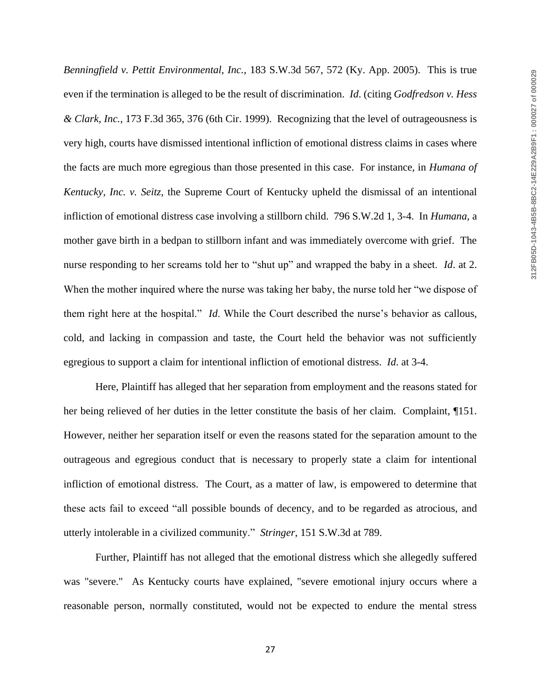*Benningfield v. Pettit Environmental, Inc.*, 183 S.W.3d 567, 572 (Ky. App. 2005). This is true even if the termination is alleged to be the result of discrimination. *Id*. (citing *Godfredson v. Hess & Clark, Inc.*, 173 F.3d 365, 376 (6th Cir. 1999). Recognizing that the level of outrageousness is very high, courts have dismissed intentional infliction of emotional distress claims in cases where the facts are much more egregious than those presented in this case. For instance, in *Humana of Kentucky, Inc. v. Seitz*, the Supreme Court of Kentucky upheld the dismissal of an intentional infliction of emotional distress case involving a stillborn child. 796 S.W.2d 1, 3-4. In *Humana*, a mother gave birth in a bedpan to stillborn infant and was immediately overcome with grief. The nurse responding to her screams told her to "shut up" and wrapped the baby in a sheet. *Id*. at 2. When the mother inquired where the nurse was taking her baby, the nurse told her "we dispose of them right here at the hospital." *Id*. While the Court described the nurse's behavior as callous, cold, and lacking in compassion and taste, the Court held the behavior was not sufficiently egregious to support a claim for intentional infliction of emotional distress. *Id*. at 3-4.

Here, Plaintiff has alleged that her separation from employment and the reasons stated for her being relieved of her duties in the letter constitute the basis of her claim. Complaint, ¶151. However, neither her separation itself or even the reasons stated for the separation amount to the outrageous and egregious conduct that is necessary to properly state a claim for intentional infliction of emotional distress. The Court, as a matter of law, is empowered to determine that these acts fail to exceed "all possible bounds of decency, and to be regarded as atrocious, and utterly intolerable in a civilized community." *Stringer*, 151 S.W.3d at 789.

Further, Plaintiff has not alleged that the emotional distress which she allegedly suffered was "severe." As Kentucky courts have explained, "severe emotional injury occurs where a reasonable person, normally constituted, would not be expected to endure the mental stress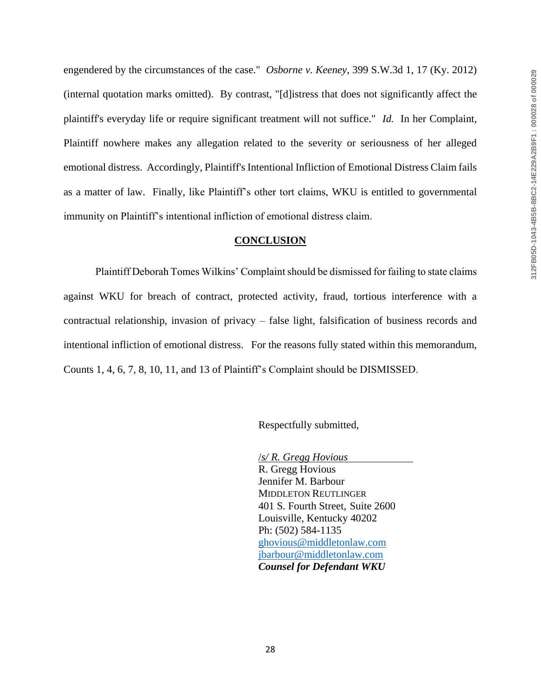engendered by the circumstances of the case." *Osborne v. Keeney*, 399 S.W.3d 1, 17 (Ky. 2012) (internal quotation marks omitted). By contrast, "[d]istress that does not significantly affect the plaintiff's everyday life or require significant treatment will not suffice." *Id.* In her Complaint, Plaintiff nowhere makes any allegation related to the severity or seriousness of her alleged emotional distress. Accordingly, Plaintiff's Intentional Infliction of Emotional Distress Claim fails as a matter of law. Finally, like Plaintiff's other tort claims, WKU is entitled to governmental immunity on Plaintiff's intentional infliction of emotional distress claim.

#### **CONCLUSION**

Plaintiff Deborah Tomes Wilkins' Complaint should be dismissed for failing to state claims against WKU for breach of contract, protected activity, fraud, tortious interference with a contractual relationship, invasion of privacy – false light, falsification of business records and intentional infliction of emotional distress. For the reasons fully stated within this memorandum, Counts 1, 4, 6, 7, 8, 10, 11, and 13 of Plaintiff's Complaint should be DISMISSED.

Respectfully submitted,

/*s/ R. Gregg Hovious* R. Gregg Hovious Jennifer M. Barbour MIDDLETON REUTLINGER 401 S. Fourth Street, Suite 2600 Louisville, Kentucky 40202 Ph: (502) 584-1135 [ghovious@middletonlaw.com](mailto:ghovious@middletonlaw.com) [jbarbour@middletonlaw.com](mailto:jbarbour@middletonlaw.com) *Counsel for Defendant WKU*